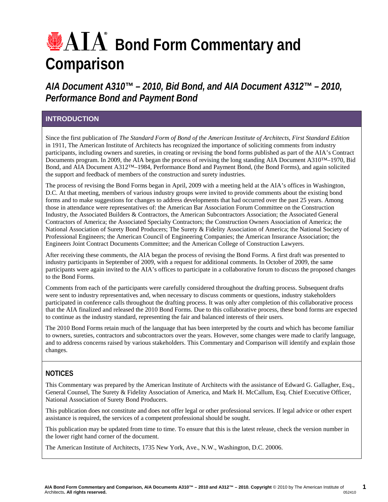# **AIA** Bond Form Commentary and **Comparison**

*AIA Document A310™ – 2010, Bid Bond, and AIA Document A312™ – 2010, Performance Bond and Payment Bond* 

#### **INTRODUCTION**

Since the first publication of *The Standard Form of Bond of the American Institute of Architects, First Standard Edition* in 1911*,* The American Institute of Architects has recognized the importance of soliciting comments from industry participants, including owners and sureties, in creating or revising the bond forms published as part of the AIA's Contract Documents program. In 2009, the AIA began the process of revising the long standing AIA Document A310™–1970, Bid Bond, and AIA Document A312™–1984, Performance Bond and Payment Bond, (the Bond Forms), and again solicited the support and feedback of members of the construction and surety industries.

The process of revising the Bond Forms began in April, 2009 with a meeting held at the AIA's offices in Washington, D.C. At that meeting, members of various industry groups were invited to provide comments about the existing bond forms and to make suggestions for changes to address developments that had occurred over the past 25 years. Among those in attendance were representatives of: the American Bar Association Forum Committee on the Construction Industry, the Associated Builders & Contractors, the American Subcontractors Association; the Associated General Contractors of America; the Associated Specialty Contractors; the Construction Owners Association of America; the National Association of Surety Bond Producers; The Surety & Fidelity Association of America; the National Society of Professional Engineers; the American Council of Engineering Companies; the American Insurance Association; the Engineers Joint Contract Documents Committee; and the American College of Construction Lawyers.

After receiving these comments, the AIA began the process of revising the Bond Forms. A first draft was presented to industry participants in September of 2009, with a request for additional comments. In October of 2009, the same participants were again invited to the AIA's offices to participate in a collaborative forum to discuss the proposed changes to the Bond Forms.

Comments from each of the participants were carefully considered throughout the drafting process. Subsequent drafts were sent to industry representatives and, when necessary to discuss comments or questions, industry stakeholders participated in conference calls throughout the drafting process. It was only after completion of this collaborative process that the AIA finalized and released the 2010 Bond Forms. Due to this collaborative process, these bond forms are expected to continue as the industry standard, representing the fair and balanced interests of their users.

The 2010 Bond Forms retain much of the language that has been interpreted by the courts and which has become familiar to owners, sureties, contractors and subcontractors over the years. However, some changes were made to clarify language, and to address concerns raised by various stakeholders. This Commentary and Comparison will identify and explain those changes.

## **NOTICES**

This Commentary was prepared by the American Institute of Architects with the assistance of Edward G. Gallagher, Esq., General Counsel, The Surety & Fidelity Association of America, and Mark H. McCallum, Esq. Chief Executive Officer, National Association of Surety Bond Producers.

This publication does not constitute and does not offer legal or other professional services. If legal advice or other expert assistance is required, the services of a competent professional should be sought.

This publication may be updated from time to time. To ensure that this is the latest release, check the version number in the lower right hand corner of the document.

The American Institute of Architects, 1735 New York, Ave., N.W., Washington, D.C. 20006.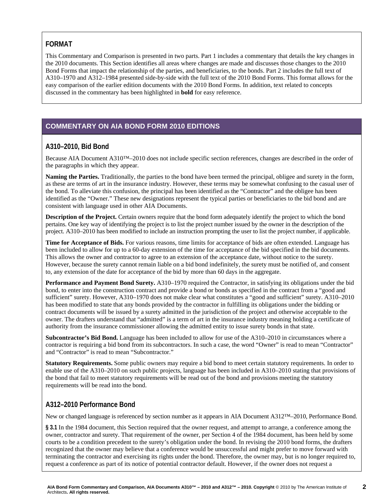#### **FORMAT**

This Commentary and Comparison is presented in two parts. Part 1 includes a commentary that details the key changes in the 2010 documents. This Section identifies all areas where changes are made and discusses those changes to the 2010 Bond Forms that impact the relationship of the parties, and beneficiaries, to the bonds. Part 2 includes the full text of A310–1970 and A312–1984 presented side-by-side with the full text of the 2010 Bond Forms. This format allows for the easy comparison of the earlier edition documents with the 2010 Bond Forms. In addition, text related to concepts discussed in the commentary has been highlighted in **bold** for easy reference.

#### **COMMENTARY ON AIA BOND FORM 2010 EDITIONS**

## **A310–2010, Bid Bond**

Because AIA Document A310™–2010 does not include specific section references, changes are described in the order of the paragraphs in which they appear.

**Naming the Parties.** Traditionally, the parties to the bond have been termed the principal, obligee and surety in the form, as these are terms of art in the insurance industry. However, these terms may be somewhat confusing to the casual user of the bond. To alleviate this confusion, the principal has been identified as the "Contractor" and the obligee has been identified as the "Owner." These new designations represent the typical parties or beneficiaries to the bid bond and are consistent with language used in other AIA Documents.

**Description of the Project.** Certain owners require that the bond form adequately identify the project to which the bond pertains. One key way of identifying the project is to list the project number issued by the owner in the description of the project. A310–2010 has been modified to include an instruction prompting the user to list the project number, if applicable.

**Time for Acceptance of Bids.** For various reasons, time limits for acceptance of bids are often extended. Language has been included to allow for up to a 60-day extension of the time for acceptance of the bid specified in the bid documents. This allows the owner and contractor to agree to an extension of the acceptance date, without notice to the surety. However, because the surety cannot remain liable on a bid bond indefinitely, the surety must be notified of, and consent to, any extension of the date for acceptance of the bid by more than 60 days in the aggregate.

**Performance and Payment Bond Surety.** A310–1970 required the Contractor, in satisfying its obligations under the bid bond, to enter into the construction contract and provide a bond or bonds as specified in the contract from a "good and sufficient" surety. However, A310–1970 does not make clear what constitutes a "good and sufficient" surety. A310–2010 has been modified to state that any bonds provided by the contractor in fulfilling its obligations under the bidding or contract documents will be issued by a surety admitted in the jurisdiction of the project and otherwise acceptable to the owner. The drafters understand that "admitted" is a term of art in the insurance industry meaning holding a certificate of authority from the insurance commissioner allowing the admitted entity to issue surety bonds in that state.

**Subcontractor's Bid Bond.** Language has been included to allow for use of the A310–2010 in circumstances where a contractor is requiring a bid bond from its subcontractors. In such a case, the word "Owner" is read to mean "Contractor" and "Contractor" is read to mean "Subcontractor."

**Statutory Requirements.** Some public owners may require a bid bond to meet certain statutory requirements. In order to enable use of the A310–2010 on such public projects, language has been included in A310–2010 stating that provisions of the bond that fail to meet statutory requirements will be read out of the bond and provisions meeting the statutory requirements will be read into the bond.

## **A312–2010 Performance Bond**

New or changed language is referenced by section number as it appears in AIA Document A312™–2010, Performance Bond.

**§ 3.1** In the 1984 document, this Section required that the owner request, and attempt to arrange, a conference among the owner, contractor and surety. That requirement of the owner, per Section 4 of the 1984 document, has been held by some courts to be a condition precedent to the surety's obligation under the bond. In revising the 2010 bond forms, the drafters recognized that the owner may believe that a conference would be unsuccessful and might prefer to move forward with terminating the contractor and exercising its rights under the bond. Therefore, the owner may, but is no longer required to, request a conference as part of its notice of potential contractor default. However, if the owner does not request a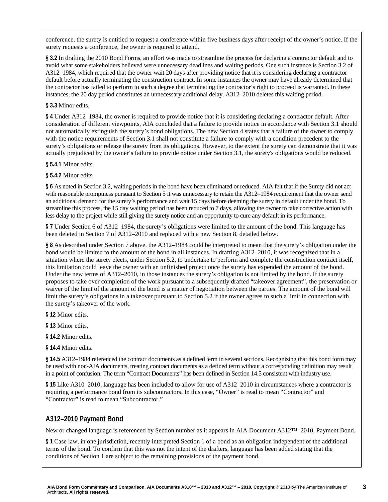conference, the surety is entitled to request a conference within five business days after receipt of the owner's notice. If the surety requests a conference, the owner is required to attend.

**§ 3.2** In drafting the 2010 Bond Forms, an effort was made to streamline the process for declaring a contractor default and to avoid what some stakeholders believed were unnecessary deadlines and waiting periods. One such instance is Section 3.2 of A312–1984, which required that the owner wait 20 days after providing notice that it is considering declaring a contractor default before actually terminating the construction contract. In some instances the owner may have already determined that the contractor has failed to perform to such a degree that terminating the contractor's right to proceed is warranted. In these instances, the 20 day period constitutes an unnecessary additional delay. A312–2010 deletes this waiting period.

#### **§ 3.3** Minor edits.

**§ 4** Under A312–1984, the owner is required to provide notice that it is considering declaring a contractor default. After consideration of different viewpoints, AIA concluded that a failure to provide notice in accordance with Section 3.1 should not automatically extinguish the surety's bond obligations. The new Section 4 states that a failure of the owner to comply with the notice requirements of Section 3.1 shall not constitute a failure to comply with a condition precedent to the surety's obligations or release the surety from its obligations. However, to the extent the surety can demonstrate that it was actually prejudiced by the owner's failure to provide notice under Section 3.1, the surety's obligations would be reduced.

**§ 5.4.1** Minor edits.

**§ 5.4.2** Minor edits.

**§ 6** As noted in Section 3.2, waiting periods in the bond have been eliminated or reduced. AIA felt that if the Surety did not act with reasonable promptness pursuant to Section 5 it was unnecessary to retain the A312–1984 requirement that the owner send an additional demand for the surety's performance and wait 15 days before deeming the surety in default under the bond. To streamline this process, the 15 day waiting period has been reduced to 7 days, allowing the owner to take corrective action with less delay to the project while still giving the surety notice and an opportunity to cure any default in its performance.

**§ 7** Under Section 6 of A312–1984, the surety's obligations were limited to the amount of the bond. This language has been deleted in Section 7 of A312–2010 and replaced with a new Section 8, detailed below.

**§ 8** As described under Section 7 above, the A312–1984 could be interpreted to mean that the surety's obligation under the bond would be limited to the amount of the bond in all instances. In drafting A312–2010, it was recognized that in a situation where the surety elects, under Section 5.2, to undertake to perform and complete the construction contract itself, this limitation could leave the owner with an unfinished project once the surety has expended the amount of the bond. Under the new terms of A312–2010, in those instances the surety's obligation is not limited by the bond. If the surety proposes to take over completion of the work pursuant to a subsequently drafted "takeover agreement", the preservation or waiver of the limit of the amount of the bond is a matter of negotiation between the parties. The amount of the bond will limit the surety's obligations in a takeover pursuant to Section 5.2 if the owner agrees to such a limit in connection with the surety's takeover of the work.

**§ 12** Minor edits.

**§ 13** Minor edits.

**§ 14.2** Minor edits.

**§ 14.4** Minor edits.

**§ 14.5** A312–1984 referenced the contract documents as a defined term in several sections. Recognizing that this bond form may be used with non-AIA documents, treating contract documents as a defined term without a corresponding definition may result in a point of confusion. The term "Contract Documents" has been defined in Section 14.5 consistent with industry use.

**§ 15** Like A310–2010, language has been included to allow for use of A312–2010 in circumstances where a contractor is requiring a performance bond from its subcontractors. In this case, "Owner" is read to mean "Contractor" and "Contractor" is read to mean "Subcontractor."

#### **A312–2010 Payment Bond**

New or changed language is referenced by Section number as it appears in AIA Document A312™–2010, Payment Bond.

**§ 1** Case law, in one jurisdiction, recently interpreted Section 1 of a bond as an obligation independent of the additional terms of the bond. To confirm that this was not the intent of the drafters, language has been added stating that the conditions of Section 1 are subject to the remaining provisions of the payment bond.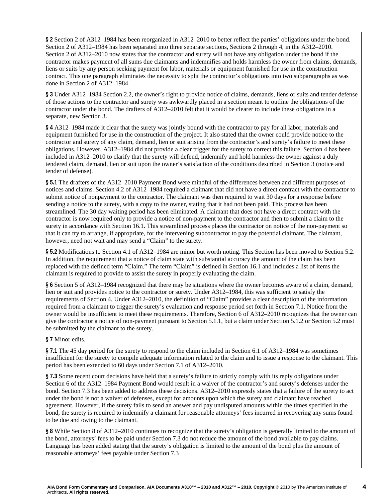**§ 2** Section 2 of A312–1984 has been reorganized in A312–2010 to better reflect the parties' obligations under the bond. Section 2 of A312–1984 has been separated into three separate sections, Sections 2 through 4, in the A312–2010. Section 2 of A312–2010 now states that the contractor and surety will not have any obligation under the bond if the contractor makes payment of all sums due claimants and indemnifies and holds harmless the owner from claims, demands, liens or suits by any person seeking payment for labor, materials or equipment furnished for use in the construction contract. This one paragraph eliminates the necessity to split the contractor's obligations into two subparagraphs as was done in Section 2 of A312–1984.

**§ 3** Under A312–1984 Section 2.2, the owner's right to provide notice of claims, demands, liens or suits and tender defense of those actions to the contractor and surety was awkwardly placed in a section meant to outline the obligations of the contractor under the bond. The drafters of A312–2010 felt that it would be clearer to include these obligations in a separate, new Section 3.

**§ 4** A312–1984 made it clear that the surety was jointly bound with the contractor to pay for all labor, materials and equipment furnished for use in the construction of the project. It also stated that the owner could provide notice to the contractor and surety of any claim, demand, lien or suit arising from the contractor's and surety's failure to meet these obligations. However, A312–1984 did not provide a clear trigger for the surety to correct this failure. Section 4 has been included in A312–2010 to clarify that the surety will defend, indemnify and hold harmless the owner against a duly tendered claim, demand, lien or suit upon the owner's satisfaction of the conditions described in Section 3 (notice and tender of defense).

**§ 5.1** The drafters of the A312–2010 Payment Bond were mindful of the differences between and different purposes of notices and claims. Section 4.2 of A312–1984 required a claimant that did not have a direct contract with the contractor to submit notice of nonpayment to the contractor. The claimant was then required to wait 30 days for a response before sending a notice to the surety, with a copy to the owner, stating that it had not been paid. This process has been streamlined. The 30 day waiting period has been eliminated. A claimant that does not have a direct contract with the contractor is now required only to provide a notice of non-payment to the contractor and then to submit a claim to the surety in accordance with Section 16.1. This streamlined process places the contractor on notice of the non-payment so that it can try to arrange, if appropriate, for the intervening subcontractor to pay the potential claimant. The claimant, however, need not wait and may send a "Claim" to the surety.

**§ 5.2** Modifications to Section 4.1 of A312–1984 are minor but worth noting. This Section has been moved to Section 5.2. In addition, the requirement that a notice of claim state with substantial accuracy the amount of the claim has been replaced with the defined term "Claim." The term "Claim" is defined in Section 16.1 and includes a list of items the claimant is required to provide to assist the surety in properly evaluating the claim.

**§ 6** Section 5 of A312–1984 recognized that there may be situations where the owner becomes aware of a claim, demand, lien or suit and provides notice to the contractor or surety. Under A312–1984, this was sufficient to satisfy the requirements of Section 4. Under A312–2010, the definition of "Claim" provides a clear description of the information required from a claimant to trigger the surety's evaluation and response period set forth in Section 7.1. Notice from the owner would be insufficient to meet these requirements. Therefore, Section 6 of A312–2010 recognizes that the owner can give the contractor a notice of non-payment pursuant to Section 5.1.1, but a claim under Section 5.1.2 or Section 5.2 must be submitted by the claimant to the surety.

**§ 7** Minor edits.

**§ 7.1** The 45 day period for the surety to respond to the claim included in Section 6.1 of A312–1984 was sometimes insufficient for the surety to compile adequate information related to the claim and to issue a response to the claimant. This period has been extended to 60 days under Section 7.1 of A312–2010.

**§ 7.3** Some recent court decisions have held that a surety's failure to strictly comply with its reply obligations under Section 6 of the A312–1984 Payment Bond would result in a waiver of the contractor's and surety's defenses under the bond. Section 7.3 has been added to address these decisions. A312–2010 expressly states that a failure of the surety to act under the bond is not a waiver of defenses, except for amounts upon which the surety and claimant have reached agreement. However, if the surety fails to send an answer and pay undisputed amounts within the times specified in the bond, the surety is required to indemnify a claimant for reasonable attorneys' fees incurred in recovering any sums found to be due and owing to the claimant.

**§ 8** While Section 8 of A312–2010 continues to recognize that the surety's obligation is generally limited to the amount of the bond, attorneys' fees to be paid under Section 7.3 do not reduce the amount of the bond available to pay claims. Language has been added stating that the surety's obligation is limited to the amount of the bond plus the amount of reasonable attorneys' fees payable under Section 7.3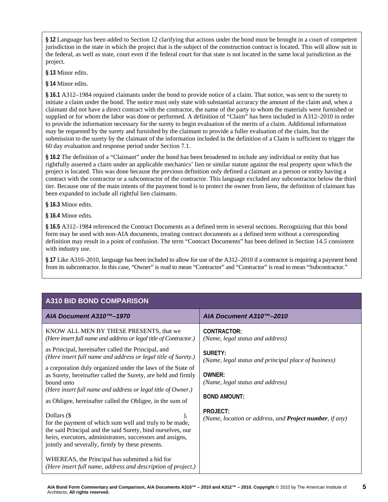**§ 12** Language has been added to Section 12 clarifying that actions under the bond must be brought in a court of competent jurisdiction in the state in which the project that is the subject of the construction contract is located. This will allow suit in the federal, as well as state, court even if the federal court for that state is not located in the same local jurisdiction as the project.

**§ 13** Minor edits.

**§ 14** Minor edits.

**§ 16.1** A312–1984 required claimants under the bond to provide notice of a claim. That notice, was sent to the surety to initiate a claim under the bond. The notice must only state with substantial accuracy the amount of the claim and, when a claimant did not have a direct contract with the contractor, the name of the party to whom the materials were furnished or supplied or for whom the labor was done or performed. A definition of "Claim" has been included in A312–2010 in order to provide the information necessary for the surety to begin evaluation of the merits of a claim. Additional information may be requested by the surety and furnished by the claimant to provide a fuller evaluation of the claim, but the submission to the surety by the claimant of the information included in the definition of a Claim is sufficient to trigger the 60 day evaluation and response period under Section 7.1.

**§ 16.2** The definition of a "Claimant" under the bond has been broadened to include any individual or entity that has rightfully asserted a claim under an applicable mechanics' lien or similar statute against the real property upon which the project is located. This was done because the previous definition only defined a claimant as a person or entity having a contract with the contractor or a subcontractor of the contractor. This language excluded any subcontractor below the third tier. Because one of the main intents of the payment bond is to protect the owner from liens, the definition of claimant has been expanded to include all rightful lien claimants.

**§ 16.3** Minor edits.

**§ 16.4** Minor edits.

**§ 16.5** A312–1984 referenced the Contract Documents as a defined term in several sections. Recognizing that this bond form may be used with non-AIA documents, treating contract documents as a defined term without a corresponding definition may result in a point of confusion. The term "Contract Documents" has been defined in Section 14.5 consistent with industry use.

**§ 17** Like A310–2010, language has been included to allow for use of the A312–2010 if a contractor is requiring a payment bond from its subcontractor. In this case, "Owner" is read to mean "Contractor" and "Contractor" is read to mean "Subcontractor."

| <b>A310 BID BOND COMPARISON</b>                                                                                                                                                                                                                                         |                                                                             |
|-------------------------------------------------------------------------------------------------------------------------------------------------------------------------------------------------------------------------------------------------------------------------|-----------------------------------------------------------------------------|
| AIA Document A310™-1970                                                                                                                                                                                                                                                 | AIA Document A310™-2010                                                     |
| KNOW ALL MEN BY THESE PRESENTS, that we<br>(Here insert full name and address or legal title of Contractor.)                                                                                                                                                            | CONTRACTOR:<br>(Name, legal status and address)                             |
| as Principal, hereinafter called the Principal, and<br>(Here insert full name and address or legal title of Surety.)                                                                                                                                                    | SURETY:<br>(Name, legal status and principal place of business)             |
| a corporation duly organized under the laws of the State of<br>as Surety, hereinafter called the Surety, are held and firmly<br>bound unto<br>(Here insert full name and address or legal title of Owner.)<br>as Obligee, hereinafter called the Obligee, in the sum of | OWNER:<br>(Name, legal status and address)<br><b>BOND AMOUNT:</b>           |
| Dollars (\$<br>for the payment of which sum well and truly to be made,<br>the said Principal and the said Surety, bind ourselves, our<br>heirs, executors, administrators, successors and assigns,<br>jointly and severally, firmly by these presents.                  | PROJECT:<br>(Name, location or address, and <b>Project number</b> , if any) |
| WHEREAS, the Principal has submitted a bid for<br>(Here insert full name, address and description of project.)                                                                                                                                                          |                                                                             |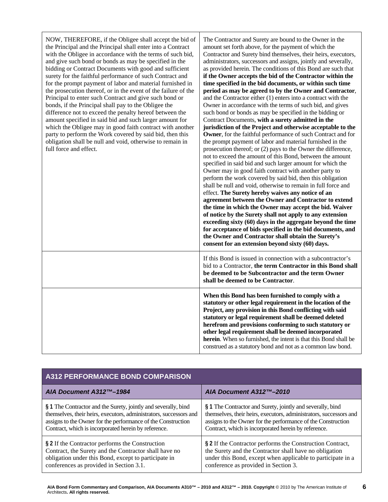| NOW, THEREFORE, if the Obligee shall accept the bid of<br>the Principal and the Principal shall enter into a Contract |
|-----------------------------------------------------------------------------------------------------------------------|
| with the Obligee in accordance with the terms of such bid,                                                            |
| and give such bond or bonds as may be specified in the                                                                |
| bidding or Contract Documents with good and sufficient                                                                |
| surety for the faithful performance of such Contract and                                                              |
| for the prompt payment of labor and material furnished in                                                             |
| the prosecution thereof, or in the event of the failure of the                                                        |
| Principal to enter such Contract and give such bond or                                                                |
| bonds, if the Principal shall pay to the Obligee the                                                                  |
| difference not to exceed the penalty hereof between the                                                               |
| amount specified in said bid and such larger amount for                                                               |
| which the Obligee may in good faith contract with another                                                             |
| party to perform the Work covered by said bid, then this                                                              |
| obligation shall be null and void, otherwise to remain in                                                             |
| full force and effect.                                                                                                |
|                                                                                                                       |

The Contractor and Surety are bound to the Owner in the amount set forth above, for the payment of which the Contractor and Surety bind themselves, their heirs, executors, administrators, successors and assigns, jointly and severally, as provided herein. The conditions of this Bond are such that **if the Owner accepts the bid of the Contractor within the time specified in the bid documents, or within such time period as may be agreed to by the Owner and Contractor**, and the Contractor either (1) enters into a contract with the Owner in accordance with the terms of such bid, and gives such bond or bonds as may be specified in the bidding or Contract Documents, **with a surety admitted in the jurisdiction of the Project and otherwise acceptable to the Owner**, for the faithful performance of such Contract and for the prompt payment of labor and material furnished in the prosecution thereof; or (2) pays to the Owner the difference, not to exceed the amount of this Bond, between the amount specified in said bid and such larger amount for which the Owner may in good faith contract with another party to perform the work covered by said bid, then this obligation shall be null and void, otherwise to remain in full force and effect. **The Surety hereby waives any notice of an agreement between the Owner and Contractor to extend the time in which the Owner may accept the bid. Waiver of notice by the Surety shall not apply to any extension exceeding sixty (60) days in the aggregate beyond the time for acceptance of bids specified in the bid documents, and the Owner and Contractor shall obtain the Surety's consent for an extension beyond sixty (60) days.**

 If this Bond is issued in connection with a subcontractor's bid to a Contractor, **the term Contractor in this Bond shall be deemed to be Subcontractor and the term Owner shall be deemed to be Contractor**.

**When this Bond has been furnished to comply with a statutory or other legal requirement in the location of the Project, any provision in this Bond conflicting with said statutory or legal requirement shall be deemed deleted herefrom and provisions conforming to such statutory or other legal requirement shall be deemed incorporated herein**. When so furnished, the intent is that this Bond shall be construed as a statutory bond and not as a common law bond.

| <b>A312 PERFORMANCE BOND COMPARISON</b>                            |                                                                    |
|--------------------------------------------------------------------|--------------------------------------------------------------------|
| AIA Document A312™-1984                                            | AIA Document A312™-2010                                            |
| § 1 The Contractor and the Surety, jointly and severally, bind     | § 1 The Contractor and Surety, jointly and severally, bind         |
| themselves, their heirs, executors, administrators, successors and | themselves, their heirs, executors, administrators, successors and |
| assigns to the Owner for the performance of the Construction       | assigns to the Owner for the performance of the Construction       |
| Contract, which is incorporated herein by reference.               | Contract, which is incorporated herein by reference.               |
| § 2 If the Contractor performs the Construction                    | § 2 If the Contractor performs the Construction Contract,          |
| Contract, the Surety and the Contractor shall have no              | the Surety and the Contractor shall have no obligation             |
| obligation under this Bond, except to participate in               | under this Bond, except when applicable to participate in a        |
| conferences as provided in Section 3.1.                            | conference as provided in Section 3.                               |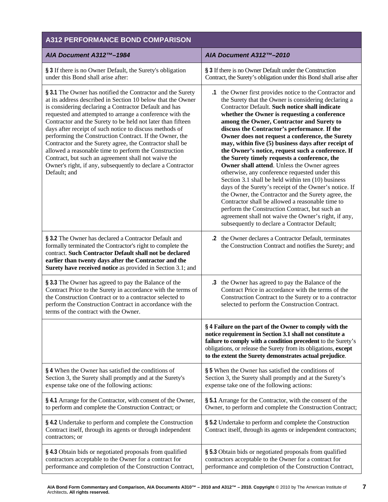| <b>A312 PERFORMANCE BOND COMPARISON</b>                                                                                                                                                                                                                                                                                                                                                                                                                                                                                                                                                                                                                                                        |                                                                                                                                                                                                                                                                                                                                                                                                                                                                                                                                                                                                                                                                                                                                                                                                                                                                                                                                                                                                                       |  |
|------------------------------------------------------------------------------------------------------------------------------------------------------------------------------------------------------------------------------------------------------------------------------------------------------------------------------------------------------------------------------------------------------------------------------------------------------------------------------------------------------------------------------------------------------------------------------------------------------------------------------------------------------------------------------------------------|-----------------------------------------------------------------------------------------------------------------------------------------------------------------------------------------------------------------------------------------------------------------------------------------------------------------------------------------------------------------------------------------------------------------------------------------------------------------------------------------------------------------------------------------------------------------------------------------------------------------------------------------------------------------------------------------------------------------------------------------------------------------------------------------------------------------------------------------------------------------------------------------------------------------------------------------------------------------------------------------------------------------------|--|
| AIA Document A312™-1984                                                                                                                                                                                                                                                                                                                                                                                                                                                                                                                                                                                                                                                                        | AIA Document A312™-2010                                                                                                                                                                                                                                                                                                                                                                                                                                                                                                                                                                                                                                                                                                                                                                                                                                                                                                                                                                                               |  |
| § 3 If there is no Owner Default, the Surety's obligation<br>under this Bond shall arise after:                                                                                                                                                                                                                                                                                                                                                                                                                                                                                                                                                                                                | § 3 If there is no Owner Default under the Construction<br>Contract, the Surety's obligation under this Bond shall arise after                                                                                                                                                                                                                                                                                                                                                                                                                                                                                                                                                                                                                                                                                                                                                                                                                                                                                        |  |
| § 3.1 The Owner has notified the Contractor and the Surety<br>at its address described in Section 10 below that the Owner<br>is considering declaring a Contractor Default and has<br>requested and attempted to arrange a conference with the<br>Contractor and the Surety to be held not later than fifteen<br>days after receipt of such notice to discuss methods of<br>performing the Construction Contract. If the Owner, the<br>Contractor and the Surety agree, the Contractor shall be<br>allowed a reasonable time to perform the Construction<br>Contract, but such an agreement shall not waive the<br>Owner's right, if any, subsequently to declare a Contractor<br>Default; and | .1 the Owner first provides notice to the Contractor and<br>the Surety that the Owner is considering declaring a<br>Contractor Default. Such notice shall indicate<br>whether the Owner is requesting a conference<br>among the Owner, Contractor and Surety to<br>discuss the Contractor's performance. If the<br>Owner does not request a conference, the Surety<br>may, within five (5) business days after receipt of<br>the Owner's notice, request such a conference. If<br>the Surety timely requests a conference, the<br>Owner shall attend. Unless the Owner agrees<br>otherwise, any conference requested under this<br>Section 3.1 shall be held within ten (10) business<br>days of the Surety's receipt of the Owner's notice. If<br>the Owner, the Contractor and the Surety agree, the<br>Contractor shall be allowed a reasonable time to<br>perform the Construction Contract, but such an<br>agreement shall not waive the Owner's right, if any,<br>subsequently to declare a Contractor Default; |  |
| § 3.2 The Owner has declared a Contractor Default and<br>formally terminated the Contractor's right to complete the<br>contract. Such Contractor Default shall not be declared<br>earlier than twenty days after the Contractor and the<br>Surety have received notice as provided in Section 3.1; and                                                                                                                                                                                                                                                                                                                                                                                         | .2 the Owner declares a Contractor Default, terminates<br>the Construction Contract and notifies the Surety; and                                                                                                                                                                                                                                                                                                                                                                                                                                                                                                                                                                                                                                                                                                                                                                                                                                                                                                      |  |
| § 3.3 The Owner has agreed to pay the Balance of the<br>Contract Price to the Surety in accordance with the terms of<br>the Construction Contract or to a contractor selected to<br>perform the Construction Contract in accordance with the<br>terms of the contract with the Owner.                                                                                                                                                                                                                                                                                                                                                                                                          | .3 the Owner has agreed to pay the Balance of the<br>Contract Price in accordance with the terms of the<br>Construction Contract to the Surety or to a contractor<br>selected to perform the Construction Contract.                                                                                                                                                                                                                                                                                                                                                                                                                                                                                                                                                                                                                                                                                                                                                                                                   |  |
|                                                                                                                                                                                                                                                                                                                                                                                                                                                                                                                                                                                                                                                                                                | §4 Failure on the part of the Owner to comply with the<br>notice requirement in Section 3.1 shall not constitute a<br>failure to comply with a condition precedent to the Surety's<br>obligations, or release the Surety from its obligations, except<br>to the extent the Surety demonstrates actual prejudice.                                                                                                                                                                                                                                                                                                                                                                                                                                                                                                                                                                                                                                                                                                      |  |
| §4 When the Owner has satisfied the conditions of<br>Section 3, the Surety shall promptly and at the Surety's<br>expense take one of the following actions:                                                                                                                                                                                                                                                                                                                                                                                                                                                                                                                                    | § 5 When the Owner has satisfied the conditions of<br>Section 3, the Surety shall promptly and at the Surety's<br>expense take one of the following actions:                                                                                                                                                                                                                                                                                                                                                                                                                                                                                                                                                                                                                                                                                                                                                                                                                                                          |  |
| § 4.1 Arrange for the Contractor, with consent of the Owner,<br>to perform and complete the Construction Contract; or                                                                                                                                                                                                                                                                                                                                                                                                                                                                                                                                                                          | § 5.1 Arrange for the Contractor, with the consent of the<br>Owner, to perform and complete the Construction Contract;                                                                                                                                                                                                                                                                                                                                                                                                                                                                                                                                                                                                                                                                                                                                                                                                                                                                                                |  |
| §4.2 Undertake to perform and complete the Construction<br>Contract itself, through its agents or through independent<br>contractors; or                                                                                                                                                                                                                                                                                                                                                                                                                                                                                                                                                       | § 5.2 Undertake to perform and complete the Construction<br>Contract itself, through its agents or independent contractors;                                                                                                                                                                                                                                                                                                                                                                                                                                                                                                                                                                                                                                                                                                                                                                                                                                                                                           |  |
| §4.3 Obtain bids or negotiated proposals from qualified<br>contractors acceptable to the Owner for a contract for<br>performance and completion of the Construction Contract,                                                                                                                                                                                                                                                                                                                                                                                                                                                                                                                  | § 5.3 Obtain bids or negotiated proposals from qualified<br>contractors acceptable to the Owner for a contract for<br>performance and completion of the Construction Contract,                                                                                                                                                                                                                                                                                                                                                                                                                                                                                                                                                                                                                                                                                                                                                                                                                                        |  |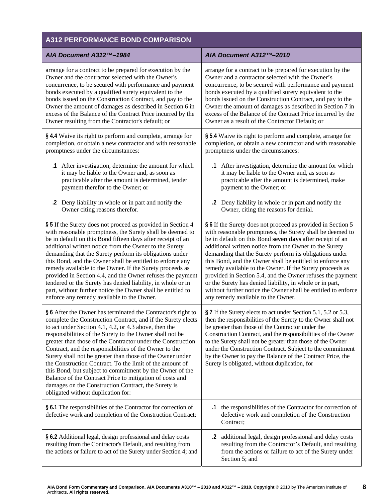| <b>A312 PERFORMANCE BOND COMPARISON</b>                                                                                                                                                                                                                                                                                                                                                                                                                                                                                                                                                                                                                                                                                  |                                                                                                                                                                                                                                                                                                                                                                                                                                                                                                  |  |
|--------------------------------------------------------------------------------------------------------------------------------------------------------------------------------------------------------------------------------------------------------------------------------------------------------------------------------------------------------------------------------------------------------------------------------------------------------------------------------------------------------------------------------------------------------------------------------------------------------------------------------------------------------------------------------------------------------------------------|--------------------------------------------------------------------------------------------------------------------------------------------------------------------------------------------------------------------------------------------------------------------------------------------------------------------------------------------------------------------------------------------------------------------------------------------------------------------------------------------------|--|
| AIA Document A312™-1984                                                                                                                                                                                                                                                                                                                                                                                                                                                                                                                                                                                                                                                                                                  | AIA Document A312™-2010                                                                                                                                                                                                                                                                                                                                                                                                                                                                          |  |
| arrange for a contract to be prepared for execution by the                                                                                                                                                                                                                                                                                                                                                                                                                                                                                                                                                                                                                                                               | arrange for a contract to be prepared for execution by the                                                                                                                                                                                                                                                                                                                                                                                                                                       |  |
| Owner and the contractor selected with the Owner's                                                                                                                                                                                                                                                                                                                                                                                                                                                                                                                                                                                                                                                                       | Owner and a contractor selected with the Owner's                                                                                                                                                                                                                                                                                                                                                                                                                                                 |  |
| concurrence, to be secured with performance and payment                                                                                                                                                                                                                                                                                                                                                                                                                                                                                                                                                                                                                                                                  | concurrence, to be secured with performance and payment                                                                                                                                                                                                                                                                                                                                                                                                                                          |  |
| bonds executed by a qualified surety equivalent to the                                                                                                                                                                                                                                                                                                                                                                                                                                                                                                                                                                                                                                                                   | bonds executed by a qualified surety equivalent to the                                                                                                                                                                                                                                                                                                                                                                                                                                           |  |
| bonds issued on the Construction Contract, and pay to the                                                                                                                                                                                                                                                                                                                                                                                                                                                                                                                                                                                                                                                                | bonds issued on the Construction Contract, and pay to the                                                                                                                                                                                                                                                                                                                                                                                                                                        |  |
| Owner the amount of damages as described in Section 6 in                                                                                                                                                                                                                                                                                                                                                                                                                                                                                                                                                                                                                                                                 | Owner the amount of damages as described in Section 7 in                                                                                                                                                                                                                                                                                                                                                                                                                                         |  |
| excess of the Balance of the Contract Price incurred by the                                                                                                                                                                                                                                                                                                                                                                                                                                                                                                                                                                                                                                                              | excess of the Balance of the Contract Price incurred by the                                                                                                                                                                                                                                                                                                                                                                                                                                      |  |
| Owner resulting from the Contractor's default; or                                                                                                                                                                                                                                                                                                                                                                                                                                                                                                                                                                                                                                                                        | Owner as a result of the Contractor Default; or                                                                                                                                                                                                                                                                                                                                                                                                                                                  |  |
| §4.4 Waive its right to perform and complete, arrange for                                                                                                                                                                                                                                                                                                                                                                                                                                                                                                                                                                                                                                                                | § 5.4 Waive its right to perform and complete, arrange for                                                                                                                                                                                                                                                                                                                                                                                                                                       |  |
| completion, or obtain a new contractor and with reasonable                                                                                                                                                                                                                                                                                                                                                                                                                                                                                                                                                                                                                                                               | completion, or obtain a new contractor and with reasonable                                                                                                                                                                                                                                                                                                                                                                                                                                       |  |
| promptness under the circumstances:                                                                                                                                                                                                                                                                                                                                                                                                                                                                                                                                                                                                                                                                                      | promptness under the circumstances:                                                                                                                                                                                                                                                                                                                                                                                                                                                              |  |
| .1 After investigation, determine the amount for which                                                                                                                                                                                                                                                                                                                                                                                                                                                                                                                                                                                                                                                                   | .1 After investigation, determine the amount for which                                                                                                                                                                                                                                                                                                                                                                                                                                           |  |
| it may be liable to the Owner and, as soon as                                                                                                                                                                                                                                                                                                                                                                                                                                                                                                                                                                                                                                                                            | it may be liable to the Owner and, as soon as                                                                                                                                                                                                                                                                                                                                                                                                                                                    |  |
| practicable after the amount is determined, tender                                                                                                                                                                                                                                                                                                                                                                                                                                                                                                                                                                                                                                                                       | practicable after the amount is determined, make                                                                                                                                                                                                                                                                                                                                                                                                                                                 |  |
| payment therefor to the Owner; or                                                                                                                                                                                                                                                                                                                                                                                                                                                                                                                                                                                                                                                                                        | payment to the Owner; or                                                                                                                                                                                                                                                                                                                                                                                                                                                                         |  |
| .2 Deny liability in whole or in part and notify the                                                                                                                                                                                                                                                                                                                                                                                                                                                                                                                                                                                                                                                                     | .2 Deny liability in whole or in part and notify the                                                                                                                                                                                                                                                                                                                                                                                                                                             |  |
| Owner citing reasons therefor.                                                                                                                                                                                                                                                                                                                                                                                                                                                                                                                                                                                                                                                                                           | Owner, citing the reasons for denial.                                                                                                                                                                                                                                                                                                                                                                                                                                                            |  |
| § 5 If the Surety does not proceed as provided in Section 4                                                                                                                                                                                                                                                                                                                                                                                                                                                                                                                                                                                                                                                              | § 6 If the Surety does not proceed as provided in Section 5                                                                                                                                                                                                                                                                                                                                                                                                                                      |  |
| with reasonable promptness, the Surety shall be deemed to                                                                                                                                                                                                                                                                                                                                                                                                                                                                                                                                                                                                                                                                | with reasonable promptness, the Surety shall be deemed to                                                                                                                                                                                                                                                                                                                                                                                                                                        |  |
| be in default on this Bond fifteen days after receipt of an                                                                                                                                                                                                                                                                                                                                                                                                                                                                                                                                                                                                                                                              | be in default on this Bond seven days after receipt of an                                                                                                                                                                                                                                                                                                                                                                                                                                        |  |
| additional written notice from the Owner to the Surety                                                                                                                                                                                                                                                                                                                                                                                                                                                                                                                                                                                                                                                                   | additional written notice from the Owner to the Surety                                                                                                                                                                                                                                                                                                                                                                                                                                           |  |
| demanding that the Surety perform its obligations under                                                                                                                                                                                                                                                                                                                                                                                                                                                                                                                                                                                                                                                                  | demanding that the Surety perform its obligations under                                                                                                                                                                                                                                                                                                                                                                                                                                          |  |
| this Bond, and the Owner shall be entitled to enforce any                                                                                                                                                                                                                                                                                                                                                                                                                                                                                                                                                                                                                                                                | this Bond, and the Owner shall be entitled to enforce any                                                                                                                                                                                                                                                                                                                                                                                                                                        |  |
| remedy available to the Owner. If the Surety proceeds as                                                                                                                                                                                                                                                                                                                                                                                                                                                                                                                                                                                                                                                                 | remedy available to the Owner. If the Surety proceeds as                                                                                                                                                                                                                                                                                                                                                                                                                                         |  |
| provided in Section 4.4, and the Owner refuses the payment                                                                                                                                                                                                                                                                                                                                                                                                                                                                                                                                                                                                                                                               | provided in Section 5.4, and the Owner refuses the payment                                                                                                                                                                                                                                                                                                                                                                                                                                       |  |
| tendered or the Surety has denied liability, in whole or in                                                                                                                                                                                                                                                                                                                                                                                                                                                                                                                                                                                                                                                              | or the Surety has denied liability, in whole or in part,                                                                                                                                                                                                                                                                                                                                                                                                                                         |  |
| part, without further notice the Owner shall be entitled to                                                                                                                                                                                                                                                                                                                                                                                                                                                                                                                                                                                                                                                              | without further notice the Owner shall be entitled to enforce                                                                                                                                                                                                                                                                                                                                                                                                                                    |  |
| enforce any remedy available to the Owner.                                                                                                                                                                                                                                                                                                                                                                                                                                                                                                                                                                                                                                                                               | any remedy available to the Owner.                                                                                                                                                                                                                                                                                                                                                                                                                                                               |  |
| § 6 After the Owner has terminated the Contractor's right to<br>complete the Construction Contract, and if the Surety elects<br>to act under Section 4.1, 4.2, or 4.3 above, then the<br>responsibilities of the Surety to the Owner shall not be<br>greater than those of the Contractor under the Construction<br>Contract, and the responsibilities of the Owner to the<br>Surety shall not be greater than those of the Owner under<br>the Construction Contract. To the limit of the amount of<br>this Bond, but subject to commitment by the Owner of the<br>Balance of the Contract Price to mitigation of costs and<br>damages on the Construction Contract, the Surety is<br>obligated without duplication for: | § 7 If the Surety elects to act under Section 5.1, 5.2 or 5.3,<br>then the responsibilities of the Surety to the Owner shall not<br>be greater than those of the Contractor under the<br>Construction Contract, and the responsibilities of the Owner<br>to the Surety shall not be greater than those of the Owner<br>under the Construction Contract. Subject to the commitment<br>by the Owner to pay the Balance of the Contract Price, the<br>Surety is obligated, without duplication, for |  |
| § 6.1 The responsibilities of the Contractor for correction of<br>defective work and completion of the Construction Contract;                                                                                                                                                                                                                                                                                                                                                                                                                                                                                                                                                                                            | .1 the responsibilities of the Contractor for correction of<br>defective work and completion of the Construction<br>Contract;                                                                                                                                                                                                                                                                                                                                                                    |  |
| § 6.2 Additional legal, design professional and delay costs<br>resulting from the Contractor's Default, and resulting from<br>the actions or failure to act of the Surety under Section 4; and                                                                                                                                                                                                                                                                                                                                                                                                                                                                                                                           | .2 additional legal, design professional and delay costs<br>resulting from the Contractor's Default, and resulting<br>from the actions or failure to act of the Surety under<br>Section 5; and                                                                                                                                                                                                                                                                                                   |  |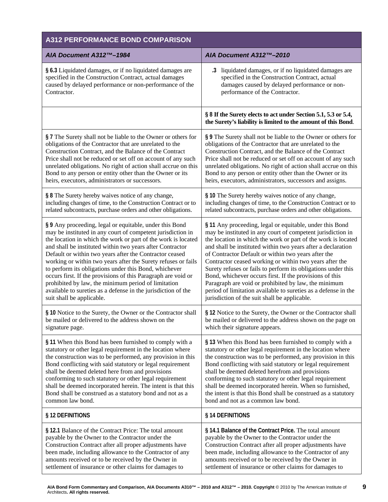| <b>A312 PERFORMANCE BOND COMPARISON</b>                        |                                                                                                                                 |
|----------------------------------------------------------------|---------------------------------------------------------------------------------------------------------------------------------|
| AIA Document A312™-1984                                        | AIA Document A312™-2010                                                                                                         |
| § 6.3 Liquidated damages, or if no liquidated damages are      | .3 liquidated damages, or if no liquidated damages are                                                                          |
| specified in the Construction Contract, actual damages         | specified in the Construction Contract, actual                                                                                  |
| caused by delayed performance or non-performance of the        | damages caused by delayed performance or non-                                                                                   |
| Contractor.                                                    | performance of the Contractor.                                                                                                  |
|                                                                | § 8 If the Surety elects to act under Section 5.1, 5.3 or 5.4,<br>the Surety's liability is limited to the amount of this Bond. |
| § 7 The Surety shall not be liable to the Owner or others for  | § 9 The Surety shall not be liable to the Owner or others for                                                                   |
| obligations of the Contractor that are unrelated to the        | obligations of the Contractor that are unrelated to the                                                                         |
| Construction Contract, and the Balance of the Contract         | Construction Contract, and the Balance of the Contract                                                                          |
| Price shall not be reduced or set off on account of any such   | Price shall not be reduced or set off on account of any such                                                                    |
| unrelated obligations. No right of action shall accrue on this | unrelated obligations. No right of action shall accrue on this                                                                  |
| Bond to any person or entity other than the Owner or its       | Bond to any person or entity other than the Owner or its                                                                        |
| heirs, executors, administrators or successors.                | heirs, executors, administrators, successors and assigns.                                                                       |
| § 8 The Surety hereby waives notice of any change,             | § 10 The Surety hereby waives notice of any change,                                                                             |
| including changes of time, to the Construction Contract or to  | including changes of time, to the Construction Contract or to                                                                   |
| related subcontracts, purchase orders and other obligations.   | related subcontracts, purchase orders and other obligations.                                                                    |
| § 9 Any proceeding, legal or equitable, under this Bond        | § 11 Any proceeding, legal or equitable, under this Bond                                                                        |
| may be instituted in any court of competent jurisdiction in    | may be instituted in any court of competent jurisdiction in                                                                     |
| the location in which the work or part of the work is located  | the location in which the work or part of the work is located                                                                   |
| and shall be instituted within two years after Contractor      | and shall be instituted within two years after a declaration                                                                    |
| Default or within two years after the Contractor ceased        | of Contractor Default or within two years after the                                                                             |
| working or within two years after the Surety refuses or fails  | Contractor ceased working or within two years after the                                                                         |
| to perform its obligations under this Bond, whichever          | Surety refuses or fails to perform its obligations under this                                                                   |
| occurs first. If the provisions of this Paragraph are void or  | Bond, whichever occurs first. If the provisions of this                                                                         |
| prohibited by law, the minimum period of limitation            | Paragraph are void or prohibited by law, the minimum                                                                            |
| available to sureties as a defense in the jurisdiction of the  | period of limitation available to sureties as a defense in the                                                                  |
| suit shall be applicable.                                      | jurisdiction of the suit shall be applicable.                                                                                   |
| § 10 Notice to the Surety, the Owner or the Contractor shall   | § 12 Notice to the Surety, the Owner or the Contractor shall                                                                    |
| be mailed or delivered to the address shown on the             | be mailed or delivered to the address shown on the page on                                                                      |
| signature page.                                                | which their signature appears.                                                                                                  |
| § 11 When this Bond has been furnished to comply with a        | § 13 When this Bond has been furnished to comply with a                                                                         |
| statutory or other legal requirement in the location where     | statutory or other legal requirement in the location where                                                                      |
| the construction was to be performed, any provision in this    | the construction was to be performed, any provision in this                                                                     |
| Bond conflicting with said statutory or legal requirement      | Bond conflicting with said statutory or legal requirement                                                                       |
| shall be deemed deleted here from and provisions               | shall be deemed deleted herefrom and provisions                                                                                 |
| conforming to such statutory or other legal requirement        | conforming to such statutory or other legal requirement                                                                         |
| shall be deemed incorporated herein. The intent is that this   | shall be deemed incorporated herein. When so furnished,                                                                         |
| Bond shall be construed as a statutory bond and not as a       | the intent is that this Bond shall be construed as a statutory                                                                  |
| common law bond.                                               | bond and not as a common law bond.                                                                                              |
| § 12 DEFINITIONS                                               | § 14 DEFINITIONS                                                                                                                |
| §12.1 Balance of the Contract Price: The total amount          | § 14.1 Balance of the Contract Price. The total amount                                                                          |
| payable by the Owner to the Contractor under the               | payable by the Owner to the Contractor under the                                                                                |
| Construction Contract after all proper adjustments have        | Construction Contract after all proper adjustments have                                                                         |
| been made, including allowance to the Contractor of any        | been made, including allowance to the Contractor of any                                                                         |
| amounts received or to be received by the Owner in             | amounts received or to be received by the Owner in                                                                              |
| settlement of insurance or other claims for damages to         | settlement of insurance or other claims for damages to                                                                          |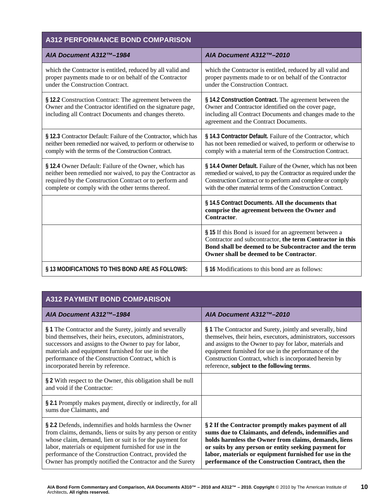| <b>A312 PERFORMANCE BOND COMPARISON</b>                                                                                                                                                                                            |                                                                                                                                                                                                                                                                |
|------------------------------------------------------------------------------------------------------------------------------------------------------------------------------------------------------------------------------------|----------------------------------------------------------------------------------------------------------------------------------------------------------------------------------------------------------------------------------------------------------------|
| AIA Document A312™-1984                                                                                                                                                                                                            | AIA Document A312™-2010                                                                                                                                                                                                                                        |
| which the Contractor is entitled, reduced by all valid and<br>proper payments made to or on behalf of the Contractor<br>under the Construction Contract.                                                                           | which the Contractor is entitled, reduced by all valid and<br>proper payments made to or on behalf of the Contractor<br>under the Construction Contract.                                                                                                       |
| §12.2 Construction Contract: The agreement between the<br>Owner and the Contractor identified on the signature page,<br>including all Contract Documents and changes thereto.                                                      | § 14.2 Construction Contract. The agreement between the<br>Owner and Contractor identified on the cover page,<br>including all Contract Documents and changes made to the<br>agreement and the Contract Documents.                                             |
| § 12.3 Contractor Default: Failure of the Contractor, which has<br>neither been remedied nor waived, to perform or otherwise to<br>comply with the terms of the Construction Contract.                                             | § 14.3 Contractor Default. Failure of the Contractor, which<br>has not been remedied or waived, to perform or otherwise to<br>comply with a material term of the Construction Contract.                                                                        |
| § 12.4 Owner Default: Failure of the Owner, which has<br>neither been remedied nor waived, to pay the Contractor as<br>required by the Construction Contract or to perform and<br>complete or comply with the other terms thereof. | § 14.4 Owner Default. Failure of the Owner, which has not been<br>remedied or waived, to pay the Contractor as required under the<br>Construction Contract or to perform and complete or comply<br>with the other material terms of the Construction Contract. |
|                                                                                                                                                                                                                                    | § 14.5 Contract Documents. All the documents that<br>comprise the agreement between the Owner and<br>Contractor.                                                                                                                                               |
|                                                                                                                                                                                                                                    | § 15 If this Bond is issued for an agreement between a<br>Contractor and subcontractor, the term Contractor in this<br>Bond shall be deemed to be Subcontractor and the term<br>Owner shall be deemed to be Contractor.                                        |
| § 13 MODIFICATIONS TO THIS BOND ARE AS FOLLOWS:                                                                                                                                                                                    | §16 Modifications to this bond are as follows:                                                                                                                                                                                                                 |

| <b>A312 PAYMENT BOND COMPARISON</b> |  |
|-------------------------------------|--|
|                                     |  |

| AIA Document A312™-1984                                                                                                                                                                                                                                                                                                                                              | AIA Document A312™-2010                                                                                                                                                                                                                                                                                                                                  |
|----------------------------------------------------------------------------------------------------------------------------------------------------------------------------------------------------------------------------------------------------------------------------------------------------------------------------------------------------------------------|----------------------------------------------------------------------------------------------------------------------------------------------------------------------------------------------------------------------------------------------------------------------------------------------------------------------------------------------------------|
| §1 The Contractor and the Surety, jointly and severally<br>bind themselves, their heirs, executors, administrators,<br>successors and assigns to the Owner to pay for labor,<br>materials and equipment furnished for use in the<br>performance of the Construction Contract, which is<br>incorporated herein by reference.                                          | §1 The Contractor and Surety, jointly and severally, bind<br>themselves, their heirs, executors, administrators, successors<br>and assigns to the Owner to pay for labor, materials and<br>equipment furnished for use in the performance of the<br>Construction Contract, which is incorporated herein by<br>reference, subject to the following terms. |
| § 2 With respect to the Owner, this obligation shall be null<br>and void if the Contractor:                                                                                                                                                                                                                                                                          |                                                                                                                                                                                                                                                                                                                                                          |
| § 2.1 Promptly makes payment, directly or indirectly, for all<br>sums due Claimants, and                                                                                                                                                                                                                                                                             |                                                                                                                                                                                                                                                                                                                                                          |
| § 2.2 Defends, indemnifies and holds harmless the Owner<br>from claims, demands, liens or suits by any person or entity<br>whose claim, demand, lien or suit is for the payment for<br>labor, materials or equipment furnished for use in the<br>performance of the Construction Contract, provided the<br>Owner has promptly notified the Contractor and the Surety | § 2 If the Contractor promptly makes payment of all<br>sums due to Claimants, and defends, indemnifies and<br>holds harmless the Owner from claims, demands, liens<br>or suits by any person or entity seeking payment for<br>labor, materials or equipment furnished for use in the<br>performance of the Construction Contract, then the               |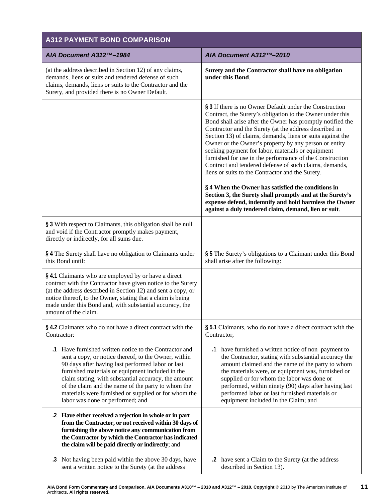| <b>A312 PAYMENT BOND COMPARISON</b>                                                                                                                                                                                                                                                                                                                                                                                               |                                                                                                                                                                                                                                                                                                                                                                                                                                                                                                                                                                                                    |
|-----------------------------------------------------------------------------------------------------------------------------------------------------------------------------------------------------------------------------------------------------------------------------------------------------------------------------------------------------------------------------------------------------------------------------------|----------------------------------------------------------------------------------------------------------------------------------------------------------------------------------------------------------------------------------------------------------------------------------------------------------------------------------------------------------------------------------------------------------------------------------------------------------------------------------------------------------------------------------------------------------------------------------------------------|
| AIA Document A312™-1984                                                                                                                                                                                                                                                                                                                                                                                                           | AIA Document A312™-2010                                                                                                                                                                                                                                                                                                                                                                                                                                                                                                                                                                            |
| (at the address described in Section 12) of any claims,<br>demands, liens or suits and tendered defense of such<br>claims, demands, liens or suits to the Contractor and the<br>Surety, and provided there is no Owner Default.                                                                                                                                                                                                   | Surety and the Contractor shall have no obligation<br>under this Bond.                                                                                                                                                                                                                                                                                                                                                                                                                                                                                                                             |
|                                                                                                                                                                                                                                                                                                                                                                                                                                   | § 3 If there is no Owner Default under the Construction<br>Contract, the Surety's obligation to the Owner under this<br>Bond shall arise after the Owner has promptly notified the<br>Contractor and the Surety (at the address described in<br>Section 13) of claims, demands, liens or suits against the<br>Owner or the Owner's property by any person or entity<br>seeking payment for labor, materials or equipment<br>furnished for use in the performance of the Construction<br>Contract and tendered defense of such claims, demands,<br>liens or suits to the Contractor and the Surety. |
|                                                                                                                                                                                                                                                                                                                                                                                                                                   | § 4 When the Owner has satisfied the conditions in<br>Section 3, the Surety shall promptly and at the Surety's<br>expense defend, indemnify and hold harmless the Owner<br>against a duly tendered claim, demand, lien or suit.                                                                                                                                                                                                                                                                                                                                                                    |
| § 3 With respect to Claimants, this obligation shall be null<br>and void if the Contractor promptly makes payment,<br>directly or indirectly, for all sums due.                                                                                                                                                                                                                                                                   |                                                                                                                                                                                                                                                                                                                                                                                                                                                                                                                                                                                                    |
| § 4 The Surety shall have no obligation to Claimants under<br>this Bond until:                                                                                                                                                                                                                                                                                                                                                    | § 5 The Surety's obligations to a Claimant under this Bond<br>shall arise after the following:                                                                                                                                                                                                                                                                                                                                                                                                                                                                                                     |
| §4.1 Claimants who are employed by or have a direct<br>contract with the Contractor have given notice to the Surety<br>(at the address described in Section 12) and sent a copy, or<br>notice thereof, to the Owner, stating that a claim is being<br>made under this Bond and, with substantial accuracy, the<br>amount of the claim.                                                                                            |                                                                                                                                                                                                                                                                                                                                                                                                                                                                                                                                                                                                    |
| §4.2 Claimants who do not have a direct contract with the<br>Contractor:                                                                                                                                                                                                                                                                                                                                                          | § 5.1 Claimants, who do not have a direct contract with the<br>Contractor,                                                                                                                                                                                                                                                                                                                                                                                                                                                                                                                         |
| .1 Have furnished written notice to the Contractor and<br>sent a copy, or notice thereof, to the Owner, within<br>90 days after having last performed labor or last<br>furnished materials or equipment included in the<br>claim stating, with substantial accuracy, the amount<br>of the claim and the name of the party to whom the<br>materials were furnished or supplied or for whom the<br>labor was done or performed; and | .1 have furnished a written notice of non-payment to<br>the Contractor, stating with substantial accuracy the<br>amount claimed and the name of the party to whom<br>the materials were, or equipment was, furnished or<br>supplied or for whom the labor was done or<br>performed, within ninety (90) days after having last<br>performed labor or last furnished materials or<br>equipment included in the Claim; and                                                                                                                                                                            |
| .2 Have either received a rejection in whole or in part<br>from the Contractor, or not received within 30 days of<br>furnishing the above notice any communication from<br>the Contractor by which the Contractor has indicated<br>the claim will be paid directly or indirectly; and                                                                                                                                             |                                                                                                                                                                                                                                                                                                                                                                                                                                                                                                                                                                                                    |
| .3 Not having been paid within the above 30 days, have<br>sent a written notice to the Surety (at the address                                                                                                                                                                                                                                                                                                                     | .2 have sent a Claim to the Surety (at the address<br>described in Section 13).                                                                                                                                                                                                                                                                                                                                                                                                                                                                                                                    |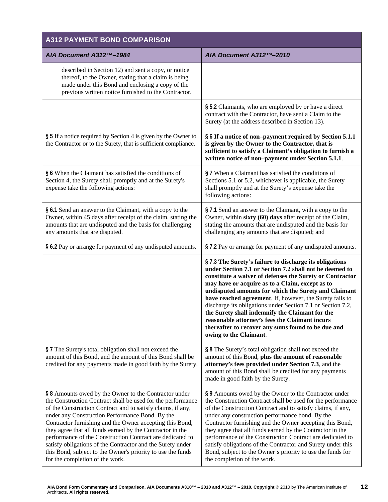| <b>A312 PAYMENT BOND COMPARISON</b>                                                                                                                                                                                                                                                                                                                                                                                                                                                                                                                                                          |                                                                                                                                                                                                                                                                                                                                                                                                                                                                                                                                                                                                          |
|----------------------------------------------------------------------------------------------------------------------------------------------------------------------------------------------------------------------------------------------------------------------------------------------------------------------------------------------------------------------------------------------------------------------------------------------------------------------------------------------------------------------------------------------------------------------------------------------|----------------------------------------------------------------------------------------------------------------------------------------------------------------------------------------------------------------------------------------------------------------------------------------------------------------------------------------------------------------------------------------------------------------------------------------------------------------------------------------------------------------------------------------------------------------------------------------------------------|
| AIA Document A312™-1984                                                                                                                                                                                                                                                                                                                                                                                                                                                                                                                                                                      | AIA Document A312™-2010                                                                                                                                                                                                                                                                                                                                                                                                                                                                                                                                                                                  |
| described in Section 12) and sent a copy, or notice<br>thereof, to the Owner, stating that a claim is being<br>made under this Bond and enclosing a copy of the<br>previous written notice furnished to the Contractor.                                                                                                                                                                                                                                                                                                                                                                      |                                                                                                                                                                                                                                                                                                                                                                                                                                                                                                                                                                                                          |
|                                                                                                                                                                                                                                                                                                                                                                                                                                                                                                                                                                                              | § 5.2 Claimants, who are employed by or have a direct<br>contract with the Contractor, have sent a Claim to the<br>Surety (at the address described in Section 13).                                                                                                                                                                                                                                                                                                                                                                                                                                      |
| § 5 If a notice required by Section 4 is given by the Owner to<br>the Contractor or to the Surety, that is sufficient compliance.                                                                                                                                                                                                                                                                                                                                                                                                                                                            | § 6 If a notice of non-payment required by Section 5.1.1<br>is given by the Owner to the Contractor, that is<br>sufficient to satisfy a Claimant's obligation to furnish a<br>written notice of non-payment under Section 5.1.1.                                                                                                                                                                                                                                                                                                                                                                         |
| § 6 When the Claimant has satisfied the conditions of<br>Section 4, the Surety shall promptly and at the Surety's<br>expense take the following actions:                                                                                                                                                                                                                                                                                                                                                                                                                                     | §7 When a Claimant has satisfied the conditions of<br>Sections 5.1 or 5.2, whichever is applicable, the Surety<br>shall promptly and at the Surety's expense take the<br>following actions:                                                                                                                                                                                                                                                                                                                                                                                                              |
| § 6.1 Send an answer to the Claimant, with a copy to the<br>Owner, within 45 days after receipt of the claim, stating the<br>amounts that are undisputed and the basis for challenging<br>any amounts that are disputed.                                                                                                                                                                                                                                                                                                                                                                     | §7.1 Send an answer to the Claimant, with a copy to the<br>Owner, within sixty (60) days after receipt of the Claim,<br>stating the amounts that are undisputed and the basis for<br>challenging any amounts that are disputed; and                                                                                                                                                                                                                                                                                                                                                                      |
| § 6.2 Pay or arrange for payment of any undisputed amounts.                                                                                                                                                                                                                                                                                                                                                                                                                                                                                                                                  | §7.2 Pay or arrange for payment of any undisputed amounts.                                                                                                                                                                                                                                                                                                                                                                                                                                                                                                                                               |
|                                                                                                                                                                                                                                                                                                                                                                                                                                                                                                                                                                                              | §7.3 The Surety's failure to discharge its obligations<br>under Section 7.1 or Section 7.2 shall not be deemed to<br>constitute a waiver of defenses the Surety or Contractor<br>may have or acquire as to a Claim, except as to<br>undisputed amounts for which the Surety and Claimant<br>have reached agreement. If, however, the Surety fails to<br>discharge its obligations under Section 7.1 or Section 7.2,<br>the Surety shall indemnify the Claimant for the<br>reasonable attorney's fees the Claimant incurs<br>thereafter to recover any sums found to be due and<br>owing to the Claimant. |
| § 7 The Surety's total obligation shall not exceed the<br>amount of this Bond, and the amount of this Bond shall be<br>credited for any payments made in good faith by the Surety.                                                                                                                                                                                                                                                                                                                                                                                                           | § 8 The Surety's total obligation shall not exceed the<br>amount of this Bond, plus the amount of reasonable<br>attorney's fees provided under Section 7.3, and the<br>amount of this Bond shall be credited for any payments<br>made in good faith by the Surety.                                                                                                                                                                                                                                                                                                                                       |
| § 8 Amounts owed by the Owner to the Contractor under<br>the Construction Contract shall be used for the performance<br>of the Construction Contract and to satisfy claims, if any,<br>under any Construction Performance Bond. By the<br>Contractor furnishing and the Owner accepting this Bond,<br>they agree that all funds earned by the Contractor in the<br>performance of the Construction Contract are dedicated to<br>satisfy obligations of the Contractor and the Surety under<br>this Bond, subject to the Owner's priority to use the funds<br>for the completion of the work. | § 9 Amounts owed by the Owner to the Contractor under<br>the Construction Contract shall be used for the performance<br>of the Construction Contract and to satisfy claims, if any,<br>under any construction performance bond. By the<br>Contractor furnishing and the Owner accepting this Bond,<br>they agree that all funds earned by the Contractor in the<br>performance of the Construction Contract are dedicated to<br>satisfy obligations of the Contractor and Surety under this<br>Bond, subject to the Owner's priority to use the funds for<br>the completion of the work.                 |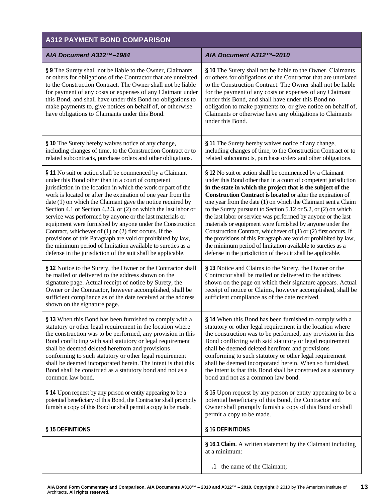| <b>A312 PAYMENT BOND COMPARISON</b>                                                                                                                                                                                                                                                                                                                                                                                                                                                                                                                                                                                                                                                                                                                                    |                                                                                                                                                                                                                                                                                                                                                                                                                                                                                                                                                                                                                                                                                                                                                                                                 |
|------------------------------------------------------------------------------------------------------------------------------------------------------------------------------------------------------------------------------------------------------------------------------------------------------------------------------------------------------------------------------------------------------------------------------------------------------------------------------------------------------------------------------------------------------------------------------------------------------------------------------------------------------------------------------------------------------------------------------------------------------------------------|-------------------------------------------------------------------------------------------------------------------------------------------------------------------------------------------------------------------------------------------------------------------------------------------------------------------------------------------------------------------------------------------------------------------------------------------------------------------------------------------------------------------------------------------------------------------------------------------------------------------------------------------------------------------------------------------------------------------------------------------------------------------------------------------------|
| AIA Document A312™-1984                                                                                                                                                                                                                                                                                                                                                                                                                                                                                                                                                                                                                                                                                                                                                | AIA Document A312™-2010                                                                                                                                                                                                                                                                                                                                                                                                                                                                                                                                                                                                                                                                                                                                                                         |
| § 9 The Surety shall not be liable to the Owner, Claimants<br>or others for obligations of the Contractor that are unrelated<br>to the Construction Contract. The Owner shall not be liable<br>for payment of any costs or expenses of any Claimant under<br>this Bond, and shall have under this Bond no obligations to<br>make payments to, give notices on behalf of, or otherwise<br>have obligations to Claimants under this Bond.                                                                                                                                                                                                                                                                                                                                | § 10 The Surety shall not be liable to the Owner, Claimants<br>or others for obligations of the Contractor that are unrelated<br>to the Construction Contract. The Owner shall not be liable<br>for the payment of any costs or expenses of any Claimant<br>under this Bond, and shall have under this Bond no<br>obligation to make payments to, or give notice on behalf of,<br>Claimants or otherwise have any obligations to Claimants<br>under this Bond.                                                                                                                                                                                                                                                                                                                                  |
| § 10 The Surety hereby waives notice of any change,<br>including changes of time, to the Construction Contract or to<br>related subcontracts, purchase orders and other obligations.                                                                                                                                                                                                                                                                                                                                                                                                                                                                                                                                                                                   | § 11 The Surety hereby waives notice of any change,<br>including changes of time, to the Construction Contract or to<br>related subcontracts, purchase orders and other obligations.                                                                                                                                                                                                                                                                                                                                                                                                                                                                                                                                                                                                            |
| § 11 No suit or action shall be commenced by a Claimant<br>under this Bond other than in a court of competent<br>jurisdiction in the location in which the work or part of the<br>work is located or after the expiration of one year from the<br>date $(1)$ on which the Claimant gave the notice required by<br>Section 4.1 or Section 4.2.3, or (2) on which the last labor or<br>service was performed by anyone or the last materials or<br>equipment were furnished by anyone under the Construction<br>Contract, whichever of $(1)$ or $(2)$ first occurs. If the<br>provisions of this Paragraph are void or prohibited by law,<br>the minimum period of limitation available to sureties as a<br>defense in the jurisdiction of the suit shall be applicable. | § 12 No suit or action shall be commenced by a Claimant<br>under this Bond other than in a court of competent jurisdiction<br>in the state in which the project that is the subject of the<br>Construction Contract is located or after the expiration of<br>one year from the date (1) on which the Claimant sent a Claim<br>to the Surety pursuant to Section 5.12 or 5.2, or (2) on which<br>the last labor or service was performed by anyone or the last<br>materials or equipment were furnished by anyone under the<br>Construction Contract, whichever of (1) or (2) first occurs. If<br>the provisions of this Paragraph are void or prohibited by law,<br>the minimum period of limitation available to sureties as a<br>defense in the jurisdiction of the suit shall be applicable. |
| § 12 Notice to the Surety, the Owner or the Contractor shall<br>be mailed or delivered to the address shown on the<br>signature page. Actual receipt of notice by Surety, the<br>Owner or the Contractor, however accomplished, shall be<br>sufficient compliance as of the date received at the address<br>shown on the signature page.                                                                                                                                                                                                                                                                                                                                                                                                                               | § 13 Notice and Claims to the Surety, the Owner or the<br>Contractor shall be mailed or delivered to the address<br>shown on the page on which their signature appears. Actual<br>receipt of notice or Claims, however accomplished, shall be<br>sufficient compliance as of the date received.                                                                                                                                                                                                                                                                                                                                                                                                                                                                                                 |
| § 13 When this Bond has been furnished to comply with a<br>statutory or other legal requirement in the location where<br>the construction was to be performed, any provision in this<br>Bond conflicting with said statutory or legal requirement<br>shall be deemed deleted herefrom and provisions<br>conforming to such statutory or other legal requirement<br>shall be deemed incorporated herein. The intent is that this<br>Bond shall be construed as a statutory bond and not as a<br>common law bond.                                                                                                                                                                                                                                                        | § 14 When this Bond has been furnished to comply with a<br>statutory or other legal requirement in the location where<br>the construction was to be performed, any provision in this<br>Bond conflicting with said statutory or legal requirement<br>shall be deemed deleted herefrom and provisions<br>conforming to such statutory or other legal requirement<br>shall be deemed incorporated herein. When so furnished,<br>the intent is that this Bond shall be construed as a statutory<br>bond and not as a common law bond.                                                                                                                                                                                                                                                              |
| § 14 Upon request by any person or entity appearing to be a<br>potential beneficiary of this Bond, the Contractor shall promptly<br>furnish a copy of this Bond or shall permit a copy to be made.                                                                                                                                                                                                                                                                                                                                                                                                                                                                                                                                                                     | § 15 Upon request by any person or entity appearing to be a<br>potential beneficiary of this Bond, the Contractor and<br>Owner shall promptly furnish a copy of this Bond or shall<br>permit a copy to be made.                                                                                                                                                                                                                                                                                                                                                                                                                                                                                                                                                                                 |
| § 15 DEFINITIONS                                                                                                                                                                                                                                                                                                                                                                                                                                                                                                                                                                                                                                                                                                                                                       | § 16 DEFINITIONS                                                                                                                                                                                                                                                                                                                                                                                                                                                                                                                                                                                                                                                                                                                                                                                |
|                                                                                                                                                                                                                                                                                                                                                                                                                                                                                                                                                                                                                                                                                                                                                                        | § 16.1 Claim. A written statement by the Claimant including<br>at a minimum:                                                                                                                                                                                                                                                                                                                                                                                                                                                                                                                                                                                                                                                                                                                    |
|                                                                                                                                                                                                                                                                                                                                                                                                                                                                                                                                                                                                                                                                                                                                                                        | .1 the name of the Claimant;                                                                                                                                                                                                                                                                                                                                                                                                                                                                                                                                                                                                                                                                                                                                                                    |

 $\mathbf l$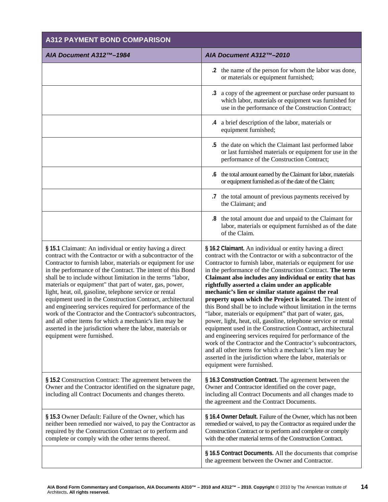| <b>A312 PAYMENT BOND COMPARISON</b>                                                                                                                                                                                                                                                                                                                                                                                                                                                                                                                                                                                                                                                                                                                                                      |                                                                                                                                                                                                                                                                                                                                                                                                                                                                                                                                                                                                                                                                                                                                                                                                                                                                                                                                                                                                                                     |
|------------------------------------------------------------------------------------------------------------------------------------------------------------------------------------------------------------------------------------------------------------------------------------------------------------------------------------------------------------------------------------------------------------------------------------------------------------------------------------------------------------------------------------------------------------------------------------------------------------------------------------------------------------------------------------------------------------------------------------------------------------------------------------------|-------------------------------------------------------------------------------------------------------------------------------------------------------------------------------------------------------------------------------------------------------------------------------------------------------------------------------------------------------------------------------------------------------------------------------------------------------------------------------------------------------------------------------------------------------------------------------------------------------------------------------------------------------------------------------------------------------------------------------------------------------------------------------------------------------------------------------------------------------------------------------------------------------------------------------------------------------------------------------------------------------------------------------------|
| AIA Document A312™-1984                                                                                                                                                                                                                                                                                                                                                                                                                                                                                                                                                                                                                                                                                                                                                                  | AIA Document A312™-2010                                                                                                                                                                                                                                                                                                                                                                                                                                                                                                                                                                                                                                                                                                                                                                                                                                                                                                                                                                                                             |
|                                                                                                                                                                                                                                                                                                                                                                                                                                                                                                                                                                                                                                                                                                                                                                                          | .2 the name of the person for whom the labor was done,<br>or materials or equipment furnished;                                                                                                                                                                                                                                                                                                                                                                                                                                                                                                                                                                                                                                                                                                                                                                                                                                                                                                                                      |
|                                                                                                                                                                                                                                                                                                                                                                                                                                                                                                                                                                                                                                                                                                                                                                                          | .3 a copy of the agreement or purchase order pursuant to<br>which labor, materials or equipment was furnished for<br>use in the performance of the Construction Contract;                                                                                                                                                                                                                                                                                                                                                                                                                                                                                                                                                                                                                                                                                                                                                                                                                                                           |
|                                                                                                                                                                                                                                                                                                                                                                                                                                                                                                                                                                                                                                                                                                                                                                                          | .4 a brief description of the labor, materials or<br>equipment furnished;                                                                                                                                                                                                                                                                                                                                                                                                                                                                                                                                                                                                                                                                                                                                                                                                                                                                                                                                                           |
|                                                                                                                                                                                                                                                                                                                                                                                                                                                                                                                                                                                                                                                                                                                                                                                          | .5 the date on which the Claimant last performed labor<br>or last furnished materials or equipment for use in the<br>performance of the Construction Contract;                                                                                                                                                                                                                                                                                                                                                                                                                                                                                                                                                                                                                                                                                                                                                                                                                                                                      |
|                                                                                                                                                                                                                                                                                                                                                                                                                                                                                                                                                                                                                                                                                                                                                                                          | the total amount earned by the Claimant for labor, materials<br>.6<br>or equipment furnished as of the date of the Claim;                                                                                                                                                                                                                                                                                                                                                                                                                                                                                                                                                                                                                                                                                                                                                                                                                                                                                                           |
|                                                                                                                                                                                                                                                                                                                                                                                                                                                                                                                                                                                                                                                                                                                                                                                          | .7 the total amount of previous payments received by<br>the Claimant; and                                                                                                                                                                                                                                                                                                                                                                                                                                                                                                                                                                                                                                                                                                                                                                                                                                                                                                                                                           |
|                                                                                                                                                                                                                                                                                                                                                                                                                                                                                                                                                                                                                                                                                                                                                                                          | .8 the total amount due and unpaid to the Claimant for<br>labor, materials or equipment furnished as of the date<br>of the Claim.                                                                                                                                                                                                                                                                                                                                                                                                                                                                                                                                                                                                                                                                                                                                                                                                                                                                                                   |
| § 15.1 Claimant: An individual or entity having a direct<br>contract with the Contractor or with a subcontractor of the<br>Contractor to furnish labor, materials or equipment for use<br>in the performance of the Contract. The intent of this Bond<br>shall be to include without limitation in the terms "labor,<br>materials or equipment" that part of water, gas, power,<br>light, heat, oil, gasoline, telephone service or rental<br>equipment used in the Construction Contract, architectural<br>and engineering services required for performance of the<br>work of the Contractor and the Contractor's subcontractors,<br>and all other items for which a mechanic's lien may be<br>asserted in the jurisdiction where the labor, materials or<br>equipment were furnished. | § 16.2 Claimant. An individual or entity having a direct<br>contract with the Contractor or with a subcontractor of the<br>Contractor to furnish labor, materials or equipment for use<br>in the performance of the Construction Contract. The term<br>Claimant also includes any individual or entity that has<br>rightfully asserted a claim under an applicable<br>mechanic's lien or similar statute against the real<br>property upon which the Project is located. The intent of<br>this Bond shall be to include without limitation in the terms<br>"labor, materials or equipment" that part of water, gas,<br>power, light, heat, oil, gasoline, telephone service or rental<br>equipment used in the Construction Contract, architectural<br>and engineering services required for performance of the<br>work of the Contractor and the Contractor's subcontractors,<br>and all other items for which a mechanic's lien may be<br>asserted in the jurisdiction where the labor, materials or<br>equipment were furnished. |
| § 15.2 Construction Contract: The agreement between the<br>Owner and the Contractor identified on the signature page,<br>including all Contract Documents and changes thereto.                                                                                                                                                                                                                                                                                                                                                                                                                                                                                                                                                                                                           | § 16.3 Construction Contract. The agreement between the<br>Owner and Contractor identified on the cover page,<br>including all Contract Documents and all changes made to<br>the agreement and the Contract Documents.                                                                                                                                                                                                                                                                                                                                                                                                                                                                                                                                                                                                                                                                                                                                                                                                              |
| § 15.3 Owner Default: Failure of the Owner, which has<br>neither been remedied nor waived, to pay the Contractor as<br>required by the Construction Contract or to perform and<br>complete or comply with the other terms thereof.                                                                                                                                                                                                                                                                                                                                                                                                                                                                                                                                                       | § 16.4 Owner Default. Failure of the Owner, which has not been<br>remedied or waived, to pay the Contractor as required under the<br>Construction Contract or to perform and complete or comply<br>with the other material terms of the Construction Contract.                                                                                                                                                                                                                                                                                                                                                                                                                                                                                                                                                                                                                                                                                                                                                                      |
|                                                                                                                                                                                                                                                                                                                                                                                                                                                                                                                                                                                                                                                                                                                                                                                          | § 16.5 Contract Documents. All the documents that comprise<br>the agreement between the Owner and Contractor.                                                                                                                                                                                                                                                                                                                                                                                                                                                                                                                                                                                                                                                                                                                                                                                                                                                                                                                       |